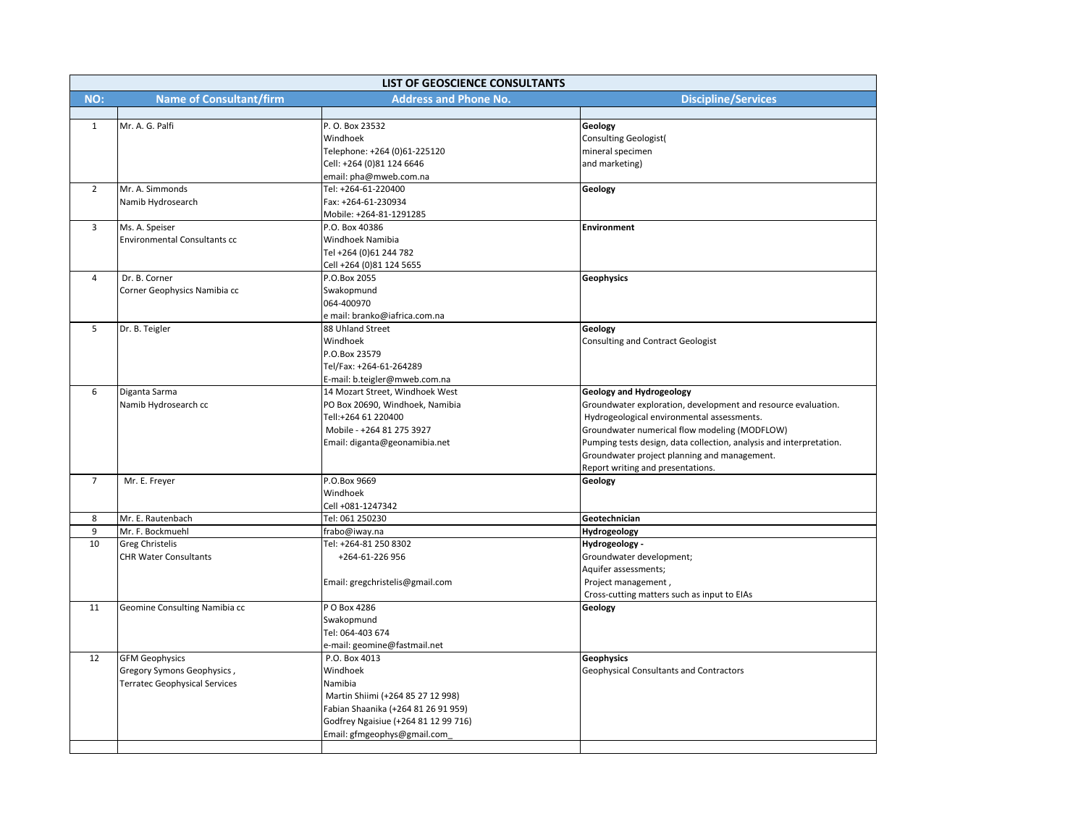|                | <b>LIST OF GEOSCIENCE CONSULTANTS</b> |                                      |                                                                     |  |  |  |
|----------------|---------------------------------------|--------------------------------------|---------------------------------------------------------------------|--|--|--|
| NO:            | <b>Name of Consultant/firm</b>        | <b>Address and Phone No.</b>         | <b>Discipline/Services</b>                                          |  |  |  |
|                |                                       |                                      |                                                                     |  |  |  |
| $\mathbf{1}$   | Mr. A. G. Palfi                       | P. O. Box 23532                      | Geology                                                             |  |  |  |
|                |                                       | Windhoek                             | <b>Consulting Geologist(</b>                                        |  |  |  |
|                |                                       | Telephone: +264 (0)61-225120         | mineral specimen                                                    |  |  |  |
|                |                                       | Cell: +264 (0)81 124 6646            | and marketing)                                                      |  |  |  |
|                |                                       | email: pha@mweb.com.na               |                                                                     |  |  |  |
| $\overline{2}$ | Mr. A. Simmonds                       | Tel: +264-61-220400                  | Geology                                                             |  |  |  |
|                | Namib Hydrosearch                     | Fax: +264-61-230934                  |                                                                     |  |  |  |
|                |                                       | Mobile: +264-81-1291285              |                                                                     |  |  |  |
| 3              | Ms. A. Speiser                        | P.O. Box 40386                       | <b>Environment</b>                                                  |  |  |  |
|                | <b>Environmental Consultants cc</b>   | Windhoek Namibia                     |                                                                     |  |  |  |
|                |                                       | Tel +264 (0)61 244 782               |                                                                     |  |  |  |
|                |                                       | Cell +264 (0)81 124 5655             |                                                                     |  |  |  |
| $\overline{4}$ | Dr. B. Corner                         | P.O.Box 2055                         | <b>Geophysics</b>                                                   |  |  |  |
|                | Corner Geophysics Namibia cc          | Swakopmund                           |                                                                     |  |  |  |
|                |                                       | 064-400970                           |                                                                     |  |  |  |
|                |                                       | e mail: branko@iafrica.com.na        |                                                                     |  |  |  |
| 5              | Dr. B. Teigler                        | 88 Uhland Street                     | Geology                                                             |  |  |  |
|                |                                       | Windhoek                             | <b>Consulting and Contract Geologist</b>                            |  |  |  |
|                |                                       | P.O.Box 23579                        |                                                                     |  |  |  |
|                |                                       | Tel/Fax: +264-61-264289              |                                                                     |  |  |  |
|                |                                       | E-mail: b.teigler@mweb.com.na        |                                                                     |  |  |  |
| 6              | Diganta Sarma                         | 14 Mozart Street, Windhoek West      | <b>Geology and Hydrogeology</b>                                     |  |  |  |
|                | Namib Hydrosearch cc                  | PO Box 20690, Windhoek, Namibia      | Groundwater exploration, development and resource evaluation.       |  |  |  |
|                |                                       | Tell:+264 61 220400                  | Hydrogeological environmental assessments.                          |  |  |  |
|                |                                       | Mobile - +264 81 275 3927            | Groundwater numerical flow modeling (MODFLOW)                       |  |  |  |
|                |                                       | Email: diganta@geonamibia.net        | Pumping tests design, data collection, analysis and interpretation. |  |  |  |
|                |                                       |                                      | Groundwater project planning and management.                        |  |  |  |
|                |                                       |                                      | Report writing and presentations.                                   |  |  |  |
| $\overline{7}$ | Mr. E. Freyer                         | P.O.Box 9669                         | Geology                                                             |  |  |  |
|                |                                       | Windhoek                             |                                                                     |  |  |  |
|                |                                       | Cell +081-1247342                    |                                                                     |  |  |  |
| 8              | Mr. E. Rautenbach                     | Tel: 061 250230                      | Geotechnician                                                       |  |  |  |
| 9              | Mr. F. Bockmuehl                      | frabo@iway.na                        | Hydrogeology                                                        |  |  |  |
| 10             | <b>Greg Christelis</b>                | Tel: +264-81 250 8302                | Hydrogeology -                                                      |  |  |  |
|                | <b>CHR Water Consultants</b>          | +264-61-226 956                      | Groundwater development;                                            |  |  |  |
|                |                                       |                                      | Aquifer assessments;                                                |  |  |  |
|                |                                       | Email: gregchristelis@gmail.com      | Project management,                                                 |  |  |  |
|                |                                       |                                      | Cross-cutting matters such as input to EIAs                         |  |  |  |
| 11             | Geomine Consulting Namibia cc         | P O Box 4286                         | Geology                                                             |  |  |  |
|                |                                       | Swakopmund                           |                                                                     |  |  |  |
|                |                                       | Tel: 064-403 674                     |                                                                     |  |  |  |
|                |                                       | e-mail: geomine@fastmail.net         |                                                                     |  |  |  |
| 12             | <b>GFM Geophysics</b>                 | P.O. Box 4013                        | <b>Geophysics</b>                                                   |  |  |  |
|                | Gregory Symons Geophysics,            | Windhoek                             | Geophysical Consultants and Contractors                             |  |  |  |
|                | <b>Terratec Geophysical Services</b>  | Namibia                              |                                                                     |  |  |  |
|                |                                       | Martin Shiimi (+264 85 27 12 998)    |                                                                     |  |  |  |
|                |                                       | Fabian Shaanika (+264 81 26 91 959)  |                                                                     |  |  |  |
|                |                                       | Godfrey Ngaisiue (+264 81 12 99 716) |                                                                     |  |  |  |
|                |                                       | Email: gfmgeophys@gmail.com          |                                                                     |  |  |  |
|                |                                       |                                      |                                                                     |  |  |  |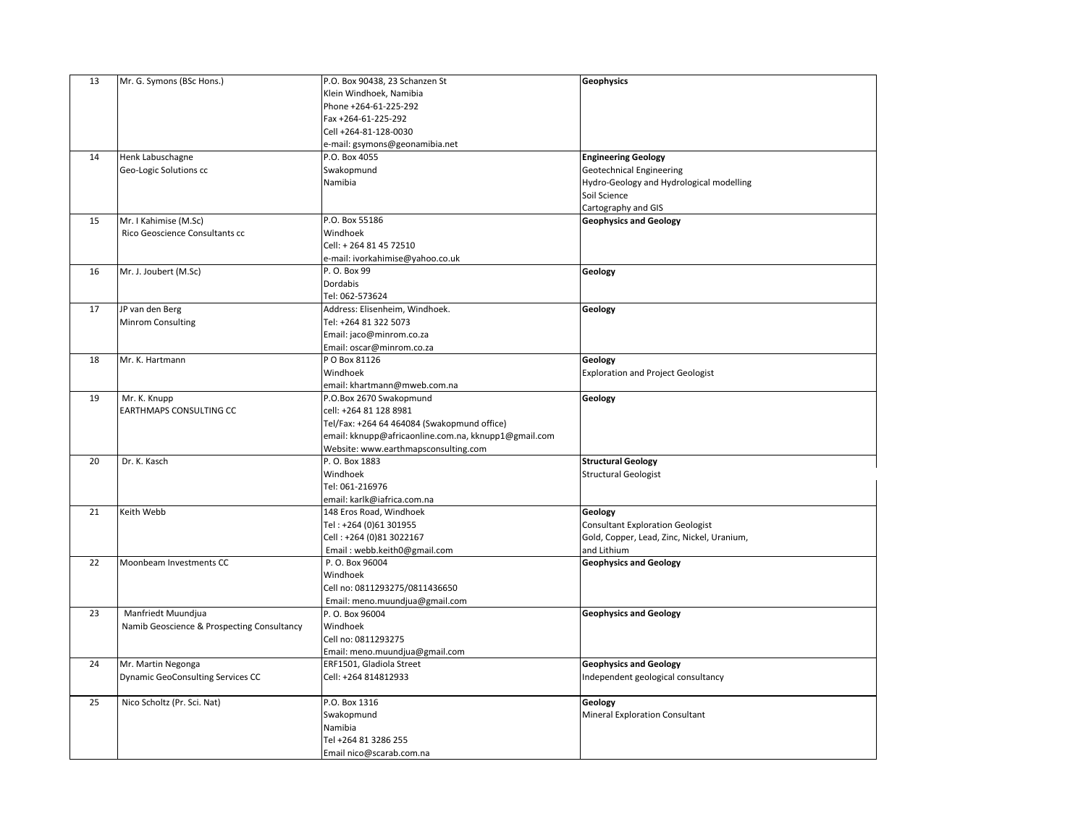| 13 | Mr. G. Symons (BSc Hons.)                  | P.O. Box 90438, 23 Schanzen St                       | Geophysics                                 |
|----|--------------------------------------------|------------------------------------------------------|--------------------------------------------|
|    |                                            | Klein Windhoek, Namibia                              |                                            |
|    |                                            | Phone +264-61-225-292                                |                                            |
|    |                                            | Fax +264-61-225-292                                  |                                            |
|    |                                            | Cell +264-81-128-0030                                |                                            |
|    |                                            | e-mail: gsymons@geonamibia.net                       |                                            |
| 14 | Henk Labuschagne                           | P.O. Box 4055                                        | <b>Engineering Geology</b>                 |
|    | Geo-Logic Solutions cc                     | Swakopmund                                           | Geotechnical Engineering                   |
|    |                                            | Namibia                                              | Hydro-Geology and Hydrological modelling   |
|    |                                            |                                                      | Soil Science                               |
|    |                                            |                                                      | Cartography and GIS                        |
| 15 | Mr. I Kahimise (M.Sc)                      | P.O. Box 55186                                       | <b>Geophysics and Geology</b>              |
|    | Rico Geoscience Consultants cc             | Windhoek                                             |                                            |
|    |                                            | Cell: +264 81 45 72510                               |                                            |
|    |                                            | e-mail: ivorkahimise@yahoo.co.uk                     |                                            |
| 16 | Mr. J. Joubert (M.Sc)                      | P. O. Box 99                                         | Geology                                    |
|    |                                            | Dordabis                                             |                                            |
|    |                                            | Tel: 062-573624                                      |                                            |
| 17 | JP van den Berg                            | Address: Elisenheim, Windhoek.                       | Geology                                    |
|    | <b>Minrom Consulting</b>                   | Tel: +264 81 322 5073                                |                                            |
|    |                                            | Email: jaco@minrom.co.za                             |                                            |
|    |                                            | Email: oscar@minrom.co.za                            |                                            |
| 18 | Mr. K. Hartmann                            | P O Box 81126                                        | Geology                                    |
|    |                                            | Windhoek                                             | <b>Exploration and Project Geologist</b>   |
|    |                                            | email: khartmann@mweb.com.na                         |                                            |
| 19 | Mr. K. Knupp                               | P.O.Box 2670 Swakopmund                              | Geology                                    |
|    | <b>EARTHMAPS CONSULTING CC</b>             | cell: +264 81 128 8981                               |                                            |
|    |                                            | Tel/Fax: +264 64 464084 (Swakopmund office)          |                                            |
|    |                                            | email: kknupp@africaonline.com.na, kknupp1@gmail.com |                                            |
|    |                                            | Website: www.earthmapsconsulting.com                 |                                            |
| 20 | Dr. K. Kasch                               | P. O. Box 1883                                       | <b>Structural Geology</b>                  |
|    |                                            | Windhoek                                             | <b>Structural Geologist</b>                |
|    |                                            | Tel: 061-216976                                      |                                            |
|    |                                            | email: karlk@iafrica.com.na                          |                                            |
| 21 | Keith Webb                                 | 148 Eros Road, Windhoek                              | Geology                                    |
|    |                                            | Tel: +264 (0)61 301955                               | <b>Consultant Exploration Geologist</b>    |
|    |                                            | Cell: +264 (0)81 3022167                             | Gold, Copper, Lead, Zinc, Nickel, Uranium, |
|    |                                            | Email: webb.keith0@gmail.com                         | and Lithium                                |
| 22 | Moonbeam Investments CC                    | P.O. Box 96004                                       | <b>Geophysics and Geology</b>              |
|    |                                            | Windhoek                                             |                                            |
|    |                                            |                                                      |                                            |
|    |                                            | Cell no: 0811293275/0811436650                       |                                            |
| 23 | Manfriedt Muundjua                         | Email: meno.muundjua@gmail.com                       | <b>Geophysics and Geology</b>              |
|    | Namib Geoscience & Prospecting Consultancy | P.O. Box 96004                                       |                                            |
|    |                                            | Windhoek                                             |                                            |
|    |                                            | Cell no: 0811293275                                  |                                            |
|    |                                            | Email: meno.muundjua@gmail.com                       |                                            |
| 24 | Mr. Martin Negonga                         | ERF1501, Gladiola Street                             | <b>Geophysics and Geology</b>              |
|    | Dynamic GeoConsulting Services CC          | Cell: +264 814812933                                 | Independent geological consultancy         |
|    |                                            |                                                      |                                            |
| 25 | Nico Scholtz (Pr. Sci. Nat)                | P.O. Box 1316                                        | Geology                                    |
|    |                                            | Swakopmund                                           | <b>Mineral Exploration Consultant</b>      |
|    |                                            | Namibia                                              |                                            |
|    |                                            | Tel +264 81 3286 255                                 |                                            |
|    |                                            | Email nico@scarab.com.na                             |                                            |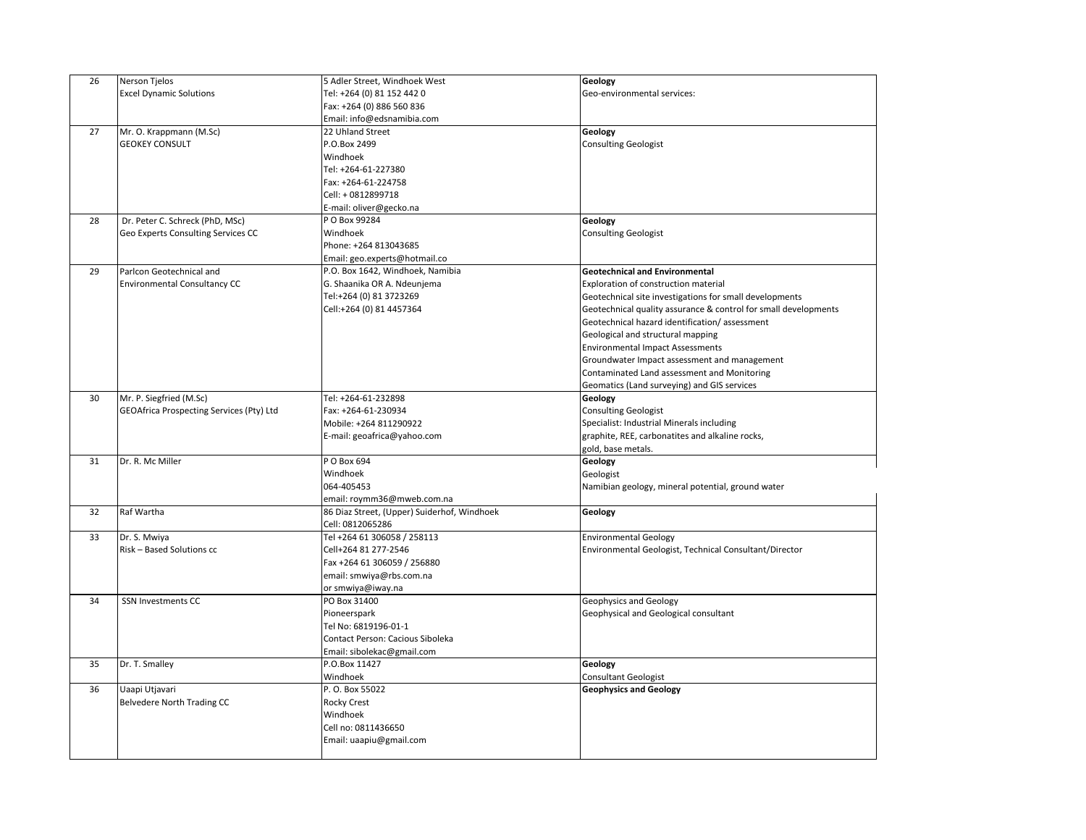| 26 | Nerson Tjelos                            | 5 Adler Street, Windhoek West               | Geology                                                         |
|----|------------------------------------------|---------------------------------------------|-----------------------------------------------------------------|
|    | <b>Excel Dynamic Solutions</b>           | Tel: +264 (0) 81 152 442 0                  | Geo-environmental services:                                     |
|    |                                          | Fax: +264 (0) 886 560 836                   |                                                                 |
|    |                                          | Email: info@edsnamibia.com                  |                                                                 |
| 27 | Mr. O. Krappmann (M.Sc)                  | 22 Uhland Street                            | Geology                                                         |
|    | <b>GEOKEY CONSULT</b>                    | P.O.Box 2499                                | <b>Consulting Geologist</b>                                     |
|    |                                          | Windhoek                                    |                                                                 |
|    |                                          | Tel: +264-61-227380                         |                                                                 |
|    |                                          | Fax: +264-61-224758                         |                                                                 |
|    |                                          | Cell: + 0812899718                          |                                                                 |
|    |                                          | E-mail: oliver@gecko.na                     |                                                                 |
| 28 | Dr. Peter C. Schreck (PhD, MSc)          | P O Box 99284                               | Geology                                                         |
|    | Geo Experts Consulting Services CC       | Windhoek                                    | <b>Consulting Geologist</b>                                     |
|    |                                          | Phone: +264 813043685                       |                                                                 |
|    |                                          | Email: geo.experts@hotmail.co               |                                                                 |
| 29 | Parlcon Geotechnical and                 | P.O. Box 1642, Windhoek, Namibia            | <b>Geotechnical and Environmental</b>                           |
|    |                                          |                                             | Exploration of construction material                            |
|    | <b>Environmental Consultancy CC</b>      | G. Shaanika OR A. Ndeunjema                 |                                                                 |
|    |                                          | Tel:+264 (0) 81 3723269                     | Geotechnical site investigations for small developments         |
|    |                                          | Cell:+264 (0) 81 4457364                    | Geotechnical quality assurance & control for small developments |
|    |                                          |                                             | Geotechnical hazard identification/assessment                   |
|    |                                          |                                             | Geological and structural mapping                               |
|    |                                          |                                             | <b>Environmental Impact Assessments</b>                         |
|    |                                          |                                             | Groundwater Impact assessment and management                    |
|    |                                          |                                             | Contaminated Land assessment and Monitoring                     |
|    |                                          |                                             | Geomatics (Land surveying) and GIS services                     |
| 30 | Mr. P. Siegfried (M.Sc)                  | Tel: +264-61-232898                         | Geology                                                         |
|    | GEOAfrica Prospecting Services (Pty) Ltd | Fax: +264-61-230934                         | <b>Consulting Geologist</b>                                     |
|    |                                          | Mobile: +264 811290922                      | Specialist: Industrial Minerals including                       |
|    |                                          | E-mail: geoafrica@yahoo.com                 | graphite, REE, carbonatites and alkaline rocks,                 |
|    |                                          |                                             | gold, base metals.                                              |
| 31 | Dr. R. Mc Miller                         | P O Box 694                                 | <b>Geology</b>                                                  |
|    |                                          | Windhoek                                    | Geologist                                                       |
|    |                                          | 064-405453                                  | Namibian geology, mineral potential, ground water               |
|    |                                          | email: roymm36@mweb.com.na                  |                                                                 |
| 32 | Raf Wartha                               | 86 Diaz Street, (Upper) Suiderhof, Windhoek | Geology                                                         |
|    |                                          | Cell: 0812065286                            |                                                                 |
| 33 | Dr. S. Mwiya                             | Tel +264 61 306058 / 258113                 | <b>Environmental Geology</b>                                    |
|    | Risk - Based Solutions cc                | Cell+264 81 277-2546                        | Environmental Geologist, Technical Consultant/Director          |
|    |                                          | Fax +264 61 306059 / 256880                 |                                                                 |
|    |                                          | email: smwiya@rbs.com.na                    |                                                                 |
|    |                                          | or smwiya@iway.na                           |                                                                 |
| 34 | SSN Investments CC                       | PO Box 31400                                | Geophysics and Geology                                          |
|    |                                          | Pioneerspark                                | Geophysical and Geological consultant                           |
|    |                                          | Tel No: 6819196-01-1                        |                                                                 |
|    |                                          | Contact Person: Cacious Siboleka            |                                                                 |
|    |                                          | Email: sibolekac@gmail.com                  |                                                                 |
|    |                                          |                                             |                                                                 |
| 35 | Dr. T. Smalley                           | P.O.Box 11427                               | Geology                                                         |
|    |                                          | Windhoek                                    | <b>Consultant Geologist</b>                                     |
| 36 | Uaapi Utjavari                           | P.O. Box 55022                              | <b>Geophysics and Geology</b>                                   |
|    | Belvedere North Trading CC               | <b>Rocky Crest</b>                          |                                                                 |
|    |                                          | Windhoek                                    |                                                                 |
|    |                                          | Cell no: 0811436650                         |                                                                 |
|    |                                          | Email: uaapiu@gmail.com                     |                                                                 |
|    |                                          |                                             |                                                                 |